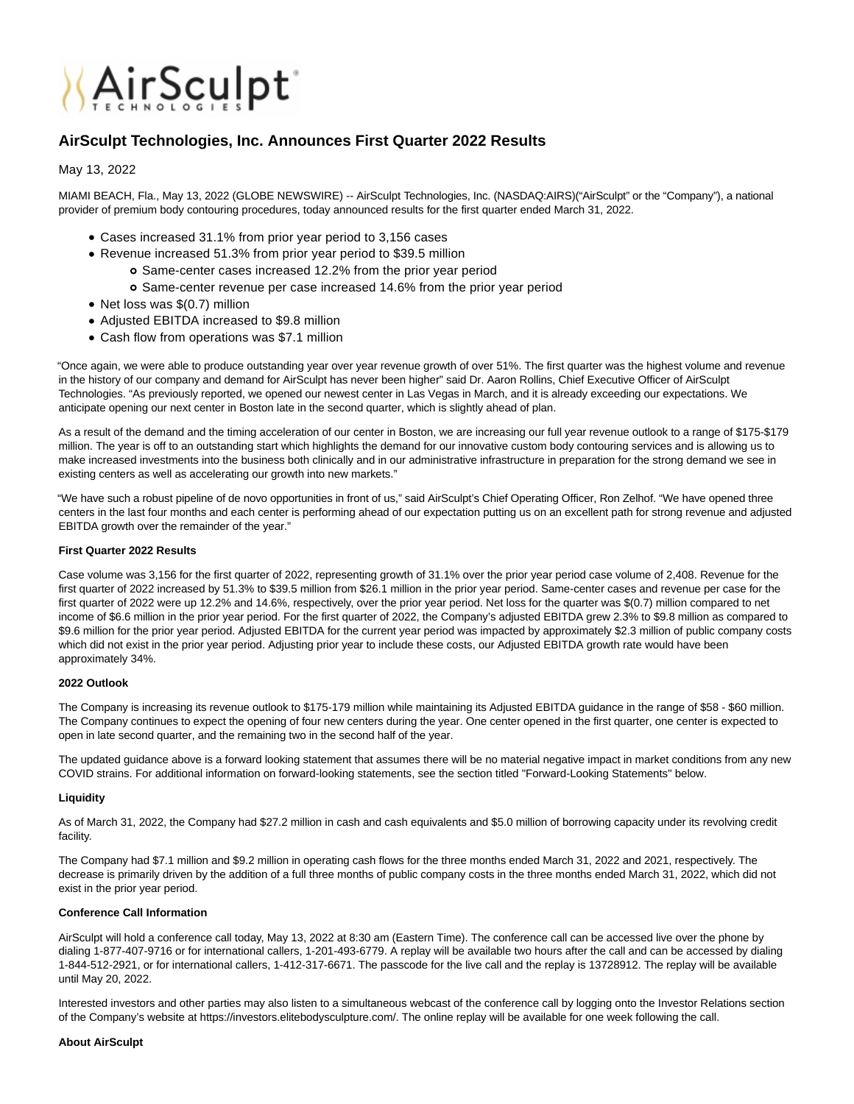

# **AirSculpt Technologies, Inc. Announces First Quarter 2022 Results**

May 13, 2022

MIAMI BEACH, Fla., May 13, 2022 (GLOBE NEWSWIRE) -- AirSculpt Technologies, Inc. (NASDAQ:AIRS)("AirSculpt" or the "Company"), a national provider of premium body contouring procedures, today announced results for the first quarter ended March 31, 2022.

- Cases increased 31.1% from prior year period to 3,156 cases
- Revenue increased 51.3% from prior year period to \$39.5 million
	- o Same-center cases increased 12.2% from the prior year period
		- o Same-center revenue per case increased 14.6% from the prior year period
- $\bullet$  Net loss was  $$(0.7)$  million
- Adjusted EBITDA increased to \$9.8 million
- Cash flow from operations was \$7.1 million

"Once again, we were able to produce outstanding year over year revenue growth of over 51%. The first quarter was the highest volume and revenue in the history of our company and demand for AirSculpt has never been higher" said Dr. Aaron Rollins, Chief Executive Officer of AirSculpt Technologies. "As previously reported, we opened our newest center in Las Vegas in March, and it is already exceeding our expectations. We anticipate opening our next center in Boston late in the second quarter, which is slightly ahead of plan.

As a result of the demand and the timing acceleration of our center in Boston, we are increasing our full year revenue outlook to a range of \$175-\$179 million. The year is off to an outstanding start which highlights the demand for our innovative custom body contouring services and is allowing us to make increased investments into the business both clinically and in our administrative infrastructure in preparation for the strong demand we see in existing centers as well as accelerating our growth into new markets."

"We have such a robust pipeline of de novo opportunities in front of us," said AirSculpt's Chief Operating Officer, Ron Zelhof. "We have opened three centers in the last four months and each center is performing ahead of our expectation putting us on an excellent path for strong revenue and adjusted EBITDA growth over the remainder of the year."

### **First Quarter 2022 Results**

Case volume was 3,156 for the first quarter of 2022, representing growth of 31.1% over the prior year period case volume of 2,408. Revenue for the first quarter of 2022 increased by 51.3% to \$39.5 million from \$26.1 million in the prior year period. Same-center cases and revenue per case for the first quarter of 2022 were up 12.2% and 14.6%, respectively, over the prior year period. Net loss for the quarter was \$(0.7) million compared to net income of \$6.6 million in the prior year period. For the first quarter of 2022, the Company's adjusted EBITDA grew 2.3% to \$9.8 million as compared to \$9.6 million for the prior year period. Adjusted EBITDA for the current year period was impacted by approximately \$2.3 million of public company costs which did not exist in the prior year period. Adjusting prior year to include these costs, our Adjusted EBITDA growth rate would have been approximately 34%.

## **2022 Outlook**

The Company is increasing its revenue outlook to \$175-179 million while maintaining its Adjusted EBITDA guidance in the range of \$58 - \$60 million. The Company continues to expect the opening of four new centers during the year. One center opened in the first quarter, one center is expected to open in late second quarter, and the remaining two in the second half of the year.

The updated guidance above is a forward looking statement that assumes there will be no material negative impact in market conditions from any new COVID strains. For additional information on forward-looking statements, see the section titled "Forward-Looking Statements" below.

## **Liquidity**

As of March 31, 2022, the Company had \$27.2 million in cash and cash equivalents and \$5.0 million of borrowing capacity under its revolving credit facility.

The Company had \$7.1 million and \$9.2 million in operating cash flows for the three months ended March 31, 2022 and 2021, respectively. The decrease is primarily driven by the addition of a full three months of public company costs in the three months ended March 31, 2022, which did not exist in the prior year period.

## **Conference Call Information**

AirSculpt will hold a conference call today, May 13, 2022 at 8:30 am (Eastern Time). The conference call can be accessed live over the phone by dialing 1-877-407-9716 or for international callers, 1-201-493-6779. A replay will be available two hours after the call and can be accessed by dialing 1-844-512-2921, or for international callers, 1-412-317-6671. The passcode for the live call and the replay is 13728912. The replay will be available until May 20, 2022.

Interested investors and other parties may also listen to a simultaneous webcast of the conference call by logging onto the Investor Relations section of the Company's website at https://investors.elitebodysculpture.com/. The online replay will be available for one week following the call.

#### **About AirSculpt**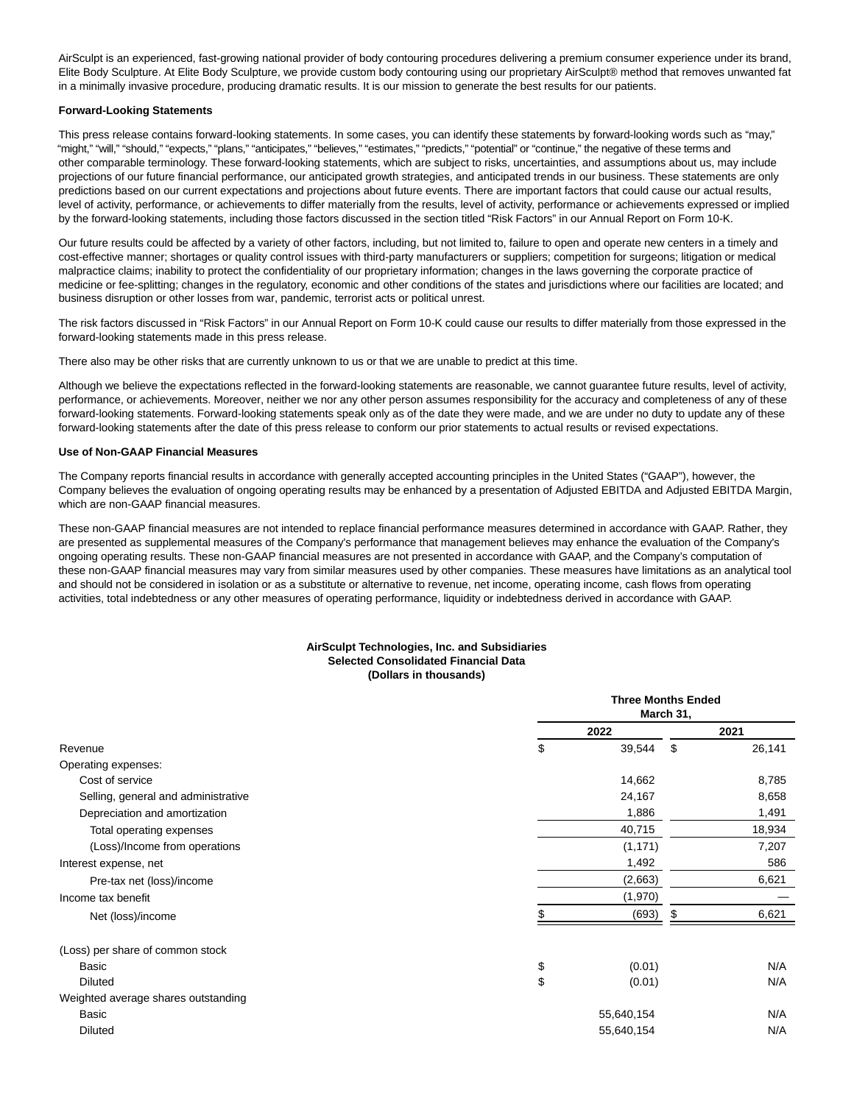AirSculpt is an experienced, fast-growing national provider of body contouring procedures delivering a premium consumer experience under its brand, Elite Body Sculpture. At Elite Body Sculpture, we provide custom body contouring using our proprietary AirSculpt® method that removes unwanted fat in a minimally invasive procedure, producing dramatic results. It is our mission to generate the best results for our patients.

#### **Forward-Looking Statements**

This press release contains forward-looking statements. In some cases, you can identify these statements by forward-looking words such as "may," "might," "will," "should," "expects," "plans," "anticipates," "believes," "estimates," "predicts," "potential" or "continue," the negative of these terms and other comparable terminology. These forward-looking statements, which are subject to risks, uncertainties, and assumptions about us, may include projections of our future financial performance, our anticipated growth strategies, and anticipated trends in our business. These statements are only predictions based on our current expectations and projections about future events. There are important factors that could cause our actual results, level of activity, performance, or achievements to differ materially from the results, level of activity, performance or achievements expressed or implied by the forward-looking statements, including those factors discussed in the section titled "Risk Factors" in our Annual Report on Form 10-K.

Our future results could be affected by a variety of other factors, including, but not limited to, failure to open and operate new centers in a timely and cost-effective manner; shortages or quality control issues with third-party manufacturers or suppliers; competition for surgeons; litigation or medical malpractice claims; inability to protect the confidentiality of our proprietary information; changes in the laws governing the corporate practice of medicine or fee-splitting; changes in the regulatory, economic and other conditions of the states and jurisdictions where our facilities are located; and business disruption or other losses from war, pandemic, terrorist acts or political unrest.

The risk factors discussed in "Risk Factors" in our Annual Report on Form 10-K could cause our results to differ materially from those expressed in the forward-looking statements made in this press release.

There also may be other risks that are currently unknown to us or that we are unable to predict at this time.

Although we believe the expectations reflected in the forward-looking statements are reasonable, we cannot guarantee future results, level of activity, performance, or achievements. Moreover, neither we nor any other person assumes responsibility for the accuracy and completeness of any of these forward-looking statements. Forward-looking statements speak only as of the date they were made, and we are under no duty to update any of these forward-looking statements after the date of this press release to conform our prior statements to actual results or revised expectations.

### **Use of Non-GAAP Financial Measures**

The Company reports financial results in accordance with generally accepted accounting principles in the United States ("GAAP"), however, the Company believes the evaluation of ongoing operating results may be enhanced by a presentation of Adjusted EBITDA and Adjusted EBITDA Margin, which are non-GAAP financial measures.

These non-GAAP financial measures are not intended to replace financial performance measures determined in accordance with GAAP. Rather, they are presented as supplemental measures of the Company's performance that management believes may enhance the evaluation of the Company's ongoing operating results. These non-GAAP financial measures are not presented in accordance with GAAP, and the Company's computation of these non-GAAP financial measures may vary from similar measures used by other companies. These measures have limitations as an analytical tool and should not be considered in isolation or as a substitute or alternative to revenue, net income, operating income, cash flows from operating activities, total indebtedness or any other measures of operating performance, liquidity or indebtedness derived in accordance with GAAP.

### **AirSculpt Technologies, Inc. and Subsidiaries Selected Consolidated Financial Data (Dollars in thousands)**

|                                     | <b>Three Months Ended</b><br>March 31, |    |        |
|-------------------------------------|----------------------------------------|----|--------|
|                                     | 2022                                   |    | 2021   |
| Revenue                             | \$<br>39,544                           | \$ | 26,141 |
| Operating expenses:                 |                                        |    |        |
| Cost of service                     | 14,662                                 |    | 8,785  |
| Selling, general and administrative | 24,167                                 |    | 8,658  |
| Depreciation and amortization       | 1,886                                  |    | 1,491  |
| Total operating expenses            | 40,715                                 |    | 18,934 |
| (Loss)/Income from operations       | (1, 171)                               |    | 7,207  |
| Interest expense, net               | 1,492                                  |    | 586    |
| Pre-tax net (loss)/income           | (2,663)                                |    | 6,621  |
| Income tax benefit                  | (1,970)                                |    |        |
| Net (loss)/income                   | (693)                                  | S  | 6,621  |
| (Loss) per share of common stock    |                                        |    |        |
| Basic                               | \$<br>(0.01)                           |    | N/A    |
| <b>Diluted</b>                      | \$<br>(0.01)                           |    | N/A    |
| Weighted average shares outstanding |                                        |    |        |
| Basic                               | 55,640,154                             |    | N/A    |
| <b>Diluted</b>                      | 55,640,154                             |    | N/A    |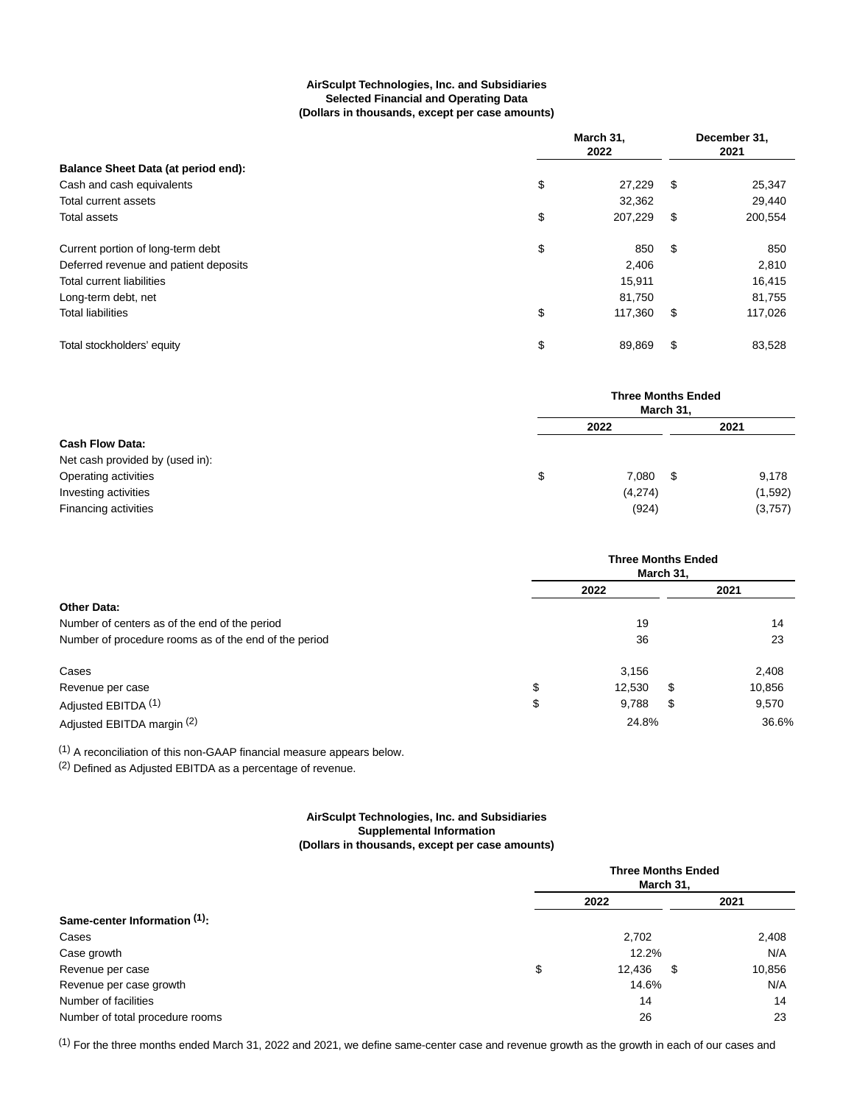## **AirSculpt Technologies, Inc. and Subsidiaries Selected Financial and Operating Data (Dollars in thousands, except per case amounts)**

|                                            | March 31,<br>2022 |         | December 31,<br>2021 |         |
|--------------------------------------------|-------------------|---------|----------------------|---------|
| <b>Balance Sheet Data (at period end):</b> |                   |         |                      |         |
| Cash and cash equivalents                  | \$                | 27,229  | -\$                  | 25,347  |
| Total current assets                       |                   | 32,362  |                      | 29,440  |
| Total assets                               | \$                | 207.229 | S.                   | 200,554 |
| Current portion of long-term debt          | \$                | 850     | \$                   | 850     |
| Deferred revenue and patient deposits      |                   | 2,406   |                      | 2,810   |
| <b>Total current liabilities</b>           |                   | 15,911  |                      | 16,415  |
| Long-term debt, net                        |                   | 81,750  |                      | 81,755  |
| <b>Total liabilities</b>                   | \$                | 117.360 | S.                   | 117,026 |
| Total stockholders' equity                 | \$                | 89,869  | \$.                  | 83,528  |

|                                 |   | <b>Three Months Ended</b><br>March 31, |      |         |  |
|---------------------------------|---|----------------------------------------|------|---------|--|
|                                 |   | 2022                                   |      | 2021    |  |
| <b>Cash Flow Data:</b>          |   |                                        |      |         |  |
| Net cash provided by (used in): |   |                                        |      |         |  |
| Operating activities            | S | 7,080                                  | - \$ | 9,178   |  |
| Investing activities            |   | (4,274)                                |      | (1,592) |  |
| Financing activities            |   | (924)                                  |      | (3,757) |  |

|                                                       | <b>Three Months Ended</b><br>March 31, |    |        |
|-------------------------------------------------------|----------------------------------------|----|--------|
|                                                       | 2022                                   |    | 2021   |
| <b>Other Data:</b>                                    |                                        |    |        |
| Number of centers as of the end of the period         | 19                                     |    | 14     |
| Number of procedure rooms as of the end of the period | 36                                     |    | 23     |
| Cases                                                 | 3.156                                  |    | 2,408  |
| Revenue per case                                      | \$<br>12,530                           | \$ | 10,856 |
| Adjusted EBITDA (1)                                   | \$<br>9,788                            | \$ | 9,570  |
| Adjusted EBITDA margin (2)                            | 24.8%                                  |    | 36.6%  |

(1) A reconciliation of this non-GAAP financial measure appears below.

(2) Defined as Adjusted EBITDA as a percentage of revenue.

#### **AirSculpt Technologies, Inc. and Subsidiaries Supplemental Information (Dollars in thousands, except per case amounts)**

|                                 | <b>Three Months Ended</b><br>March 31, |        |  |
|---------------------------------|----------------------------------------|--------|--|
|                                 | 2022                                   | 2021   |  |
| Same-center Information (1):    |                                        |        |  |
| Cases                           | 2,702                                  | 2,408  |  |
| Case growth                     | 12.2%                                  | N/A    |  |
| Revenue per case                | \$<br>12,436<br>- \$                   | 10,856 |  |
| Revenue per case growth         | 14.6%                                  | N/A    |  |
| Number of facilities            | 14                                     | 14     |  |
| Number of total procedure rooms | 26                                     | 23     |  |

(1) For the three months ended March 31, 2022 and 2021, we define same-center case and revenue growth as the growth in each of our cases and